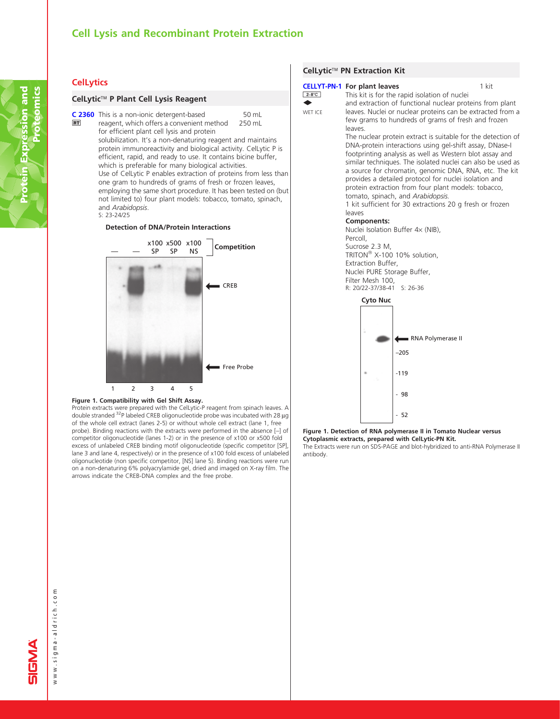# Cell Lysis and Recombinant Protein Extraction

## **CelLytics**

**RT** 

## CelLytic<sup>™</sup> P Plant Cell Lysis Reagent

50 mL 250 mL [C 2360](http://www.sigma-aldrich.com/ProductLookup.html?ProdNo=C2360&Brand=SIGMA) This is a non-ionic detergent-based reagent, which offers a convenient method for efficient plant cell lysis and protein solubilization. It's a non-denaturing reagent and maintains protein immunoreactivity and biological activity. CelLytic P is efficient, rapid, and ready to use. It contains bicine buffer, which is preferable for many biological activities. Use of CelLytic P enables extraction of proteins from less than one gram to hundreds of grams of fresh or frozen leaves, employing the same short procedure. It has been tested on (but not limited to) four plant models: tobacco, tomato, spinach, and Arabidopsis. S: 23-24/25

### **Detection of DNA/Protein Interactions**



#### Figure 1. Compatibility with Gel Shift Assay.

Protein extracts were prepared with the CelLytic-P reagent from spinach leaves. A double stranded <sup>32</sup>P labeled CREB oligonucleotide probe was incubated with 28 µg of the whole cell extract (lanes 2-5) or without whole cell extract (lane 1, free probe). Binding reactions with the extracts were performed in the absence [–] of competitor oligonucleotide (lanes 1-2) or in the presence of x100 or x500 fold excess of unlabeled CREB binding motif oligonucleotide (specific competitor [SP], lane 3 and lane 4, respectively) or in the presence of x100 fold excess of unlabeled oligonucleotide (non specific competitor,[NS] lane 5). Binding reactions were run on a non-denaturing 6% polyacrylamide gel, dried and imaged on X-ray film. The arrows indicate the CREB-DNA complex and the free probe.

## CelLytic<sup>™</sup> PN Extraction Kit

antibody.

| $2-8$ °C<br><b>WET ICE</b> | <b>CELLYT-PN-1 For plant leaves</b>                                                                                                                                                                                                                                                                                                                                                                                                                                                                                                                              | This kit is for the rapid isolation of nuclei<br>and extraction of functional nuclear proteins from plant<br>leaves. Nuclei or nuclear proteins can be extracted from a<br>few grams to hundreds of grams of fresh and frozen | 1 kit |  |  |
|----------------------------|------------------------------------------------------------------------------------------------------------------------------------------------------------------------------------------------------------------------------------------------------------------------------------------------------------------------------------------------------------------------------------------------------------------------------------------------------------------------------------------------------------------------------------------------------------------|-------------------------------------------------------------------------------------------------------------------------------------------------------------------------------------------------------------------------------|-------|--|--|
|                            | leaves.<br>The nuclear protein extract is suitable for the detection of<br>DNA-protein interactions using gel-shift assay, DNase-I<br>footprinting analysis as well as Western blot assay and<br>similar techniques. The isolated nuclei can also be used as<br>a source for chromatin, genomic DNA, RNA, etc. The kit<br>provides a detailed protocol for nuclei isolation and<br>protein extraction from four plant models: tobacco,<br>tomato, spinach, and Arabidopsis.<br>1 kit sufficient for 30 extractions 20 g fresh or frozen<br>leaves<br>Components: |                                                                                                                                                                                                                               |       |  |  |
|                            |                                                                                                                                                                                                                                                                                                                                                                                                                                                                                                                                                                  |                                                                                                                                                                                                                               |       |  |  |
|                            | Nuclei Isolation Buffer 4x (NIB),<br>Percoll,                                                                                                                                                                                                                                                                                                                                                                                                                                                                                                                    |                                                                                                                                                                                                                               |       |  |  |
|                            | Sucrose 2.3 M,                                                                                                                                                                                                                                                                                                                                                                                                                                                                                                                                                   |                                                                                                                                                                                                                               |       |  |  |
|                            | TRITON <sup>®</sup> X-100 10% solution,                                                                                                                                                                                                                                                                                                                                                                                                                                                                                                                          |                                                                                                                                                                                                                               |       |  |  |
|                            | Extraction Buffer,<br>Nuclei PURE Storage Buffer,                                                                                                                                                                                                                                                                                                                                                                                                                                                                                                                |                                                                                                                                                                                                                               |       |  |  |
|                            | Filter Mesh 100,                                                                                                                                                                                                                                                                                                                                                                                                                                                                                                                                                 |                                                                                                                                                                                                                               |       |  |  |
|                            | R: 20/22-37/38-41 S: 26-36                                                                                                                                                                                                                                                                                                                                                                                                                                                                                                                                       |                                                                                                                                                                                                                               |       |  |  |
|                            | <b>Cyto Nuc</b>                                                                                                                                                                                                                                                                                                                                                                                                                                                                                                                                                  |                                                                                                                                                                                                                               |       |  |  |
|                            |                                                                                                                                                                                                                                                                                                                                                                                                                                                                                                                                                                  | RNA Polymerase II                                                                                                                                                                                                             |       |  |  |
|                            |                                                                                                                                                                                                                                                                                                                                                                                                                                                                                                                                                                  | $-205$                                                                                                                                                                                                                        |       |  |  |
|                            |                                                                                                                                                                                                                                                                                                                                                                                                                                                                                                                                                                  | $-119$                                                                                                                                                                                                                        |       |  |  |
|                            |                                                                                                                                                                                                                                                                                                                                                                                                                                                                                                                                                                  | - 98                                                                                                                                                                                                                          |       |  |  |
|                            |                                                                                                                                                                                                                                                                                                                                                                                                                                                                                                                                                                  | 52                                                                                                                                                                                                                            |       |  |  |
|                            |                                                                                                                                                                                                                                                                                                                                                                                                                                                                                                                                                                  | Figure 1. Detection of RNA polymerase II in Tomato Nuclear versus                                                                                                                                                             |       |  |  |
|                            |                                                                                                                                                                                                                                                                                                                                                                                                                                                                                                                                                                  | Cytoplasmic extracts, prepared with CelLytic-PN Kit.<br>The Extracts were run on SDS-PAGE and blot-hybridized to anti-RNA Polymerase II                                                                                       |       |  |  |

www.sigma-aldrich.com www.sigma-aldrich.com

Tī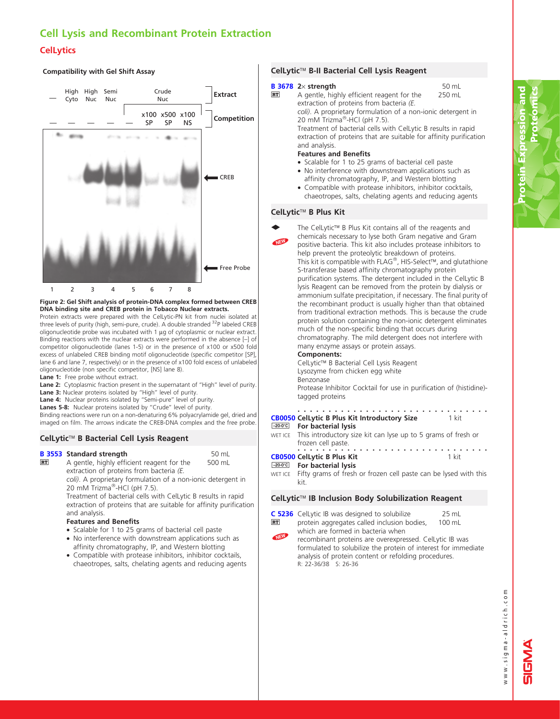# Cell Lysis and Recombinant Protein Extraction **CelLytics**

## **Compatibility with Gel Shift Assay**



## Figure 2: Gel Shift analysis of protein-DNA complex formed between CREB DNA binding site and CREB protein in Tobacco Nuclear extracts.

Protein extracts were prepared with the CelLytic-PN kit from nuclei isolated at three levels of purity (high, semi-pure, crude). A double stranded <sup>32</sup>P labeled CREB oligonucleotide probe was incubated with  $1 \mu$ g of cytoplasmic or nuclear extract. Binding reactions with the nuclear extracts were performed in the absence [–] of competitor oligonucleotide (lanes 1-5) or in the presence of x100 or x500 fold excess of unlabeled CREB binding motif oligonucleotide (specific competitor [SP], lane 6 and lane 7, respectively) or in the presence of x100 fold excess of unlabeled oligonucleotide (non specific competitor,[NS] lane 8).

Lane 1: Free probe without extract.

Lane 2: Cytoplasmic fraction present in the supernatant of "High" level of purity. Lane 3: Nuclear proteins isolated by "High" level of purity.

Lane 4: Nuclear proteins isolated by "Semi-pure" level of purity.

Lanes 5-8: Nuclear proteins isolated by "Crude" level of purity.

Binding reactions were run on a non-denaturing 6% polyacrylamide gel, dried and imaged on film. The arrows indicate the CREB-DNA complex and the free probe.

## CelLytic<sup>™</sup> B Bacterial Cell Lysis Reagent

## [B 3553](http://www.sigma-aldrich.com/ProductLookup.html?ProdNo=B3553&Brand=SIGMA) Standard strength

500 mL **RT** A gentle, highly efficient reagent for the extraction of proteins from bacteria (E. coli). A proprietary formulation of a non-ionic detergent in 20 mM Trizma<sup>®</sup>-HCl (pH 7.5).

Treatment of bacterial cells with CelLytic B results in rapid extraction of proteins that are suitable for affinity purification and analysis.

50 mL

## Features and Benefits

- Scalable for 1 to 25 grams of bacterial cell paste
- No interference with downstream applications such as affinity chromatography, IP, and Western blotting
- Compatible with protease inhibitors, inhibitor cocktails, chaeotropes, salts, chelating agents and reducing agents

## CelLytic<sup>™</sup> B-II Bacterial Cell Lysis Reagent

#### **B** 3678  $2 \times$  strength **RT**

50 mL 250 mL **2**× **strength**<br>A gentle, highly efficient reagent for the extraction of proteins from bacteria (E. coli). A proprietary formulation of a non-ionic detergent in 20 mM Trizma<sup>®</sup>-HCl (pH 7.5).

Treatment of bacterial cells with CelLytic B results in rapid extraction of proteins that are suitable for affinity purification and analysis.

## Features and Benefits

- Scalable for 1 to 25 grams of bacterial cell paste • No interference with downstream applications such as
- affinity chromatography, IP, and Western blotting • Compatible with protease inhibitors, inhibitor cocktails,
- chaeotropes, salts, chelating agents and reducing agents

## CelLytic<sup>™</sup> B Plus Kit

 $\ddot{\phantom{0}}$ 

**Contract Contract Contract Contract Contract Contract Contract Contract Contract Contract Contract Contract C** 

**Contract Contract Contract Contract Contract Contract Contract Contract Contract Contract Contract Contract C** 

NEW The CelLytic<sup>™</sup> B Plus Kit contains all of the reagents and chemicals necessary to lyse both Gram negative and Gram positive bacteria. This kit also includes protease inhibitors to

help prevent the proteolytic breakdown of proteins. This kit is compatible with FLAG®, HIS-Select™, and glutathione S-transferase based affinity chromatography protein purification systems. The detergent included in the CelLytic B lysis Reagent can be removed from the protein by dialysis or ammonium sulfate precipitation, if necessary. The final purity of the recombinant product is usually higher than that obtained from traditional extraction methods. This is because the crude protein solution containing the non-ionic detergent eliminates much of the non-specific binding that occurs during

chromatography. The mild detergent does not interfere with many enzyme assays or protein assays.

## Components:

CelLytic<sup>™</sup> B Bacterial Cell Lysis Reagent Lysozyme from chicken egg white Benzonase

Protease Inhibitor Cocktail for use in purification of (histidine) tagged proteins

#### ............................... [CB0050](http://www.sigma-aldrich.com/ProductLookup.html?ProdNo=CB0050&Brand=SIGMA) CelLytic B Plus Kit Introductory Size 1 kit

#### $-20-0$ °C For bacterial lysis

WET ICE This introductory size kit can lyse up to 5 grams of fresh or frozen cell paste. ...............................

## **[CB0500](http://www.sigma-aldrich.com/ProductLookup.html?ProdNo=CB0500&Brand=SIGMA) CelLytic B Plus Kit CB0500 CelLytic B Plus Kit**

- For bacterial lysis
- WET ICE Fifty grams of fresh or frozen cell paste can be lysed with this kit.

## CelLytic<sup>™</sup> IB Inclusion Body Solubilization Reagent

[C 5236](http://www.sigma-aldrich.com/ProductLookup.html?ProdNo=C5236&Brand=SIGMA) CelLytic IB was designed to solubilize  $RT$ 

25 mL

- 100 mL NEW protein aggregates called inclusion bodies, which are formed in bacteria when recombinant proteins are overexpressed. CelLytic IB was
	- formulated to solubilize the protein of interest for immediate analysis of protein content or refolding procedures. R: 22-36/38 S: 26-36